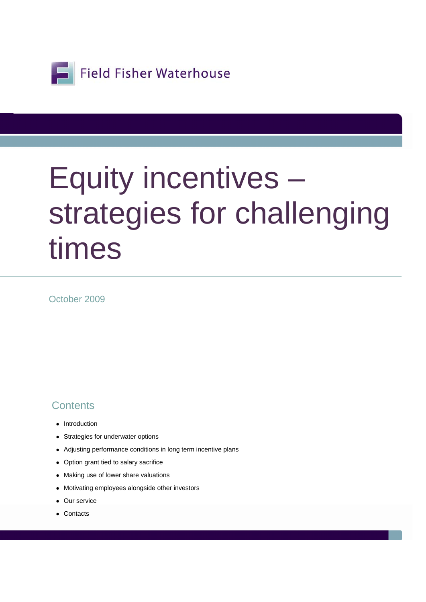

# Equity incentives – strategies for challenging times

October 2009

#### **Contents**

- Introduction
- Strategies for underwater options
- Adjusting performance conditions in long term incentive plans
- Option grant tied to salary sacrifice
- Making use of lower share valuations
- Motivating employees alongside other investors
- Our service
- Contacts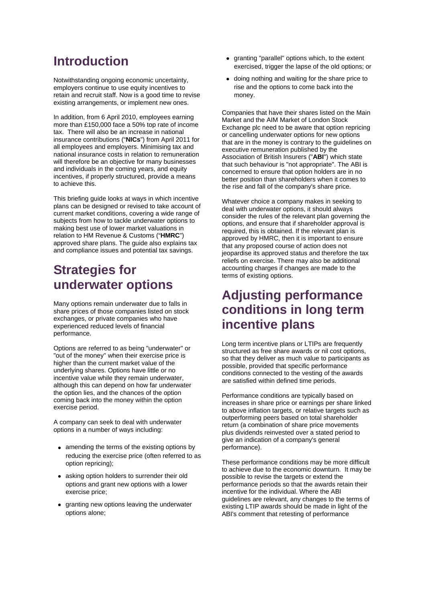#### **Introduction**

Notwithstanding ongoing economic uncertainty, employers continue to use equity incentives to retain and recruit staff. Now is a good time to revise existing arrangements, or implement new ones.

In addition, from 6 April 2010, employees earning more than £150,000 face a 50% top rate of income tax. There will also be an increase in national insurance contributions ("**NICs**") from April 2011 for all employees and employers. Minimising tax and national insurance costs in relation to remuneration will therefore be an objective for many businesses and individuals in the coming years, and equity incentives, if properly structured, provide a means to achieve this.

This briefing guide looks at ways in which incentive plans can be designed or revised to take account of current market conditions, covering a wide range of subjects from how to tackle underwater options to making best use of lower market valuations in relation to HM Revenue & Customs ("**HMRC**") approved share plans. The guide also explains tax and compliance issues and potential tax savings.

## **Strategies for underwater options**

Many options remain underwater due to falls in share prices of those companies listed on stock exchanges, or private companies who have experienced reduced levels of financial performance.

Options are referred to as being "underwater" or "out of the money" when their exercise price is higher than the current market value of the underlying shares. Options have little or no incentive value while they remain underwater, although this can depend on how far underwater the option lies, and the chances of the option coming back into the money within the option exercise period.

A company can seek to deal with underwater options in a number of ways including:

- amending the terms of the existing options by reducing the exercise price (often referred to as option repricing);
- asking option holders to surrender their old options and grant new options with a lower exercise price;
- granting new options leaving the underwater options alone;
- granting "parallel" options which, to the extent exercised, trigger the lapse of the old options; or
- doing nothing and waiting for the share price to rise and the options to come back into the money.

Companies that have their shares listed on the Main Market and the AIM Market of London Stock Exchange plc need to be aware that option repricing or cancelling underwater options for new options that are in the money is contrary to the guidelines on executive remuneration published by the Association of British Insurers ("**ABI**") which state that such behaviour is "not appropriate". The ABI is concerned to ensure that option holders are in no better position than shareholders when it comes to the rise and fall of the company's share price.

Whatever choice a company makes in seeking to deal with underwater options, it should always consider the rules of the relevant plan governing the options, and ensure that if shareholder approval is required, this is obtained. If the relevant plan is approved by HMRC, then it is important to ensure that any proposed course of action does not jeopardise its approved status and therefore the tax reliefs on exercise. There may also be additional accounting charges if changes are made to the terms of existing options.

## **Adjusting performance conditions in long term incentive plans**

Long term incentive plans or LTIPs are frequently structured as free share awards or nil cost options, so that they deliver as much value to participants as possible, provided that specific performance conditions connected to the vesting of the awards are satisfied within defined time periods.

Performance conditions are typically based on increases in share price or earnings per share linked to above inflation targets, or relative targets such as outperforming peers based on total shareholder return (a combination of share price movements plus dividends reinvested over a stated period to give an indication of a company's general performance).

These performance conditions may be more difficult to achieve due to the economic downturn. It may be possible to revise the targets or extend the performance periods so that the awards retain their incentive for the individual. Where the ABI guidelines are relevant, any changes to the terms of existing LTIP awards should be made in light of the ABI's comment that retesting of performance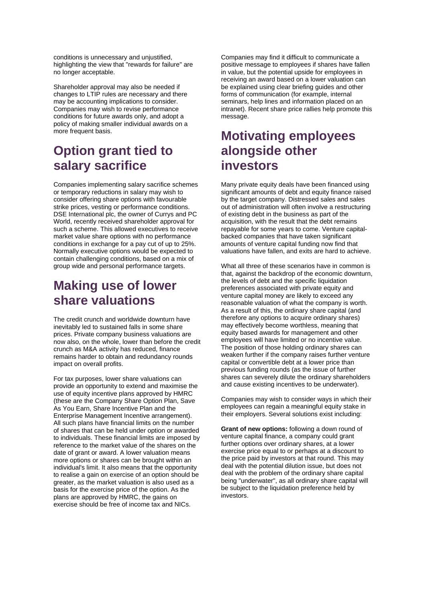conditions is unnecessary and unjustified, highlighting the view that "rewards for failure" are no longer acceptable.

Shareholder approval may also be needed if changes to LTIP rules are necessary and there may be accounting implications to consider. Companies may wish to revise performance conditions for future awards only, and adopt a policy of making smaller individual awards on a more frequent basis.

## **Option grant tied to salary sacrifice**

Companies implementing salary sacrifice schemes or temporary reductions in salary may wish to consider offering share options with favourable strike prices, vesting or performance conditions. DSE International plc, the owner of Currys and PC World, recently received shareholder approval for such a scheme. This allowed executives to receive market value share options with no performance conditions in exchange for a pay cut of up to 25%. Normally executive options would be expected to contain challenging conditions, based on a mix of group wide and personal performance targets.

## **Making use of lower share valuations**

The credit crunch and worldwide downturn have inevitably led to sustained falls in some share prices. Private company business valuations are now also, on the whole, lower than before the credit crunch as M&A activity has reduced, finance remains harder to obtain and redundancy rounds impact on overall profits.

For tax purposes, lower share valuations can provide an opportunity to extend and maximise the use of equity incentive plans approved by HMRC (these are the Company Share Option Plan, Save As You Earn, Share Incentive Plan and the Enterprise Management Incentive arrangement). All such plans have financial limits on the number of shares that can be held under option or awarded to individuals. These financial limits are imposed by reference to the market value of the shares on the date of grant or award. A lower valuation means more options or shares can be brought within an individual's limit. It also means that the opportunity to realise a gain on exercise of an option should be greater, as the market valuation is also used as a basis for the exercise price of the option. As the plans are approved by HMRC, the gains on exercise should be free of income tax and NICs.

Companies may find it difficult to communicate a positive message to employees if shares have fallen in value, but the potential upside for employees in receiving an award based on a lower valuation can be explained using clear briefing guides and other forms of communication (for example, internal seminars, help lines and information placed on an intranet). Recent share price rallies help promote this message.

## **Motivating employees alongside other investors**

Many private equity deals have been financed using significant amounts of debt and equity finance raised by the target company. Distressed sales and sales out of administration will often involve a restructuring of existing debt in the business as part of the acquisition, with the result that the debt remains repayable for some years to come. Venture capitalbacked companies that have taken significant amounts of venture capital funding now find that valuations have fallen, and exits are hard to achieve.

What all three of these scenarios have in common is that, against the backdrop of the economic downturn, the levels of debt and the specific liquidation preferences associated with private equity and venture capital money are likely to exceed any reasonable valuation of what the company is worth. As a result of this, the ordinary share capital (and therefore any options to acquire ordinary shares) may effectively become worthless, meaning that equity based awards for management and other employees will have limited or no incentive value. The position of those holding ordinary shares can weaken further if the company raises further venture capital or convertible debt at a lower price than previous funding rounds (as the issue of further shares can severely dilute the ordinary shareholders and cause existing incentives to be underwater).

Companies may wish to consider ways in which their employees can regain a meaningful equity stake in their employers. Several solutions exist including:

**Grant of new options:** following a down round of venture capital finance, a company could grant further options over ordinary shares, at a lower exercise price equal to or perhaps at a discount to the price paid by investors at that round. This may deal with the potential dilution issue, but does not deal with the problem of the ordinary share capital being "underwater", as all ordinary share capital will be subject to the liquidation preference held by investors.